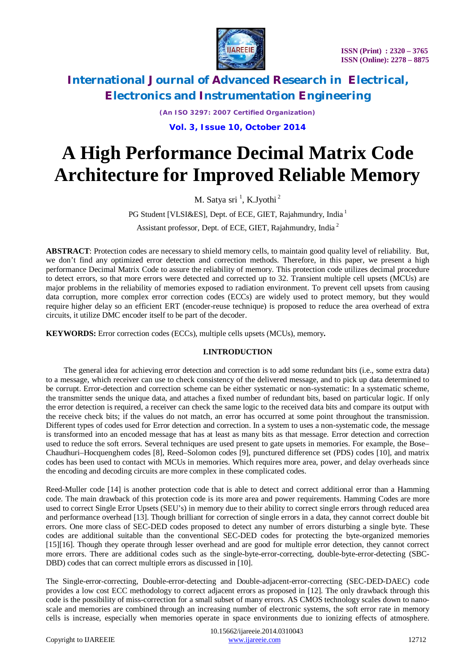

*(An ISO 3297: 2007 Certified Organization)*

**Vol. 3, Issue 10, October 2014**

# **A High Performance Decimal Matrix Code Architecture for Improved Reliable Memory**

M. Satya sri <sup>1</sup>, K.Jyothi<sup>2</sup>

PG Student [VLSI&ES], Dept. of ECE, GIET, Rajahmundry, India<sup>1</sup>

Assistant professor, Dept. of ECE, GIET, Rajahmundry, India <sup>2</sup>

**ABSTRACT**: Protection codes are necessary to shield memory cells, to maintain good quality level of reliability. But, we don't find any optimized error detection and correction methods. Therefore, in this paper, we present a high performance Decimal Matrix Code to assure the reliability of memory. This protection code utilizes decimal procedure to detect errors, so that more errors were detected and corrected up to 32. Transient multiple cell upsets (MCUs) are major problems in the reliability of memories exposed to radiation environment. To prevent cell upsets from causing data corruption, more complex error correction codes (ECCs) are widely used to protect memory, but they would require higher delay so an efficient ERT (encoder-reuse technique) is proposed to reduce the area overhead of extra circuits, it utilize DMC encoder itself to be part of the decoder.

**KEYWORDS:** Error correction codes (ECCs), multiple cells upsets (MCUs), memory**.**

# **I.INTRODUCTION**

 The general idea for achieving error detection and correction is to add some redundant bits (i.e., some extra data) to a message, which receiver can use to check consistency of the delivered message, and to pick up data determined to be corrupt. Error-detection and correction scheme can be either systematic or non-systematic: In a systematic scheme, the transmitter sends the unique data, and attaches a fixed number of redundant bits, based on particular logic. If only the error detection is required, a receiver can check the same logic to the received data bits and compare its output with the receive check bits; if the values do not match, an error has occurred at some point throughout the transmission. Different types of codes used for Error detection and correction. In a system to uses a non-systematic code, the message is transformed into an encoded message that has at least as many bits as that message. Error detection and correction used to reduce the soft errors. Several techniques are used present to gate upsets in memories. For example, the Bose– Chaudhuri–Hocquenghem codes [8], Reed–Solomon codes [9], punctured difference set (PDS) codes [10], and matrix codes has been used to contact with MCUs in memories. Which requires more area, power, and delay overheads since the encoding and decoding circuits are more complex in these complicated codes.

Reed-Muller code [14] is another protection code that is able to detect and correct additional error than a Hamming code. The main drawback of this protection code is its more area and power requirements. Hamming Codes are more used to correct Single Error Upsets (SEU's) in memory due to their ability to correct single errors through reduced area and performance overhead [13]. Though brilliant for correction of single errors in a data, they cannot correct double bit errors. One more class of SEC-DED codes proposed to detect any number of errors disturbing a single byte. These codes are additional suitable than the conventional SEC-DED codes for protecting the byte-organized memories [15][16]. Though they operate through lesser overhead and are good for multiple error detection, they cannot correct more errors. There are additional codes such as the single-byte-error-correcting, double-byte-error-detecting (SBC-DBD) codes that can correct multiple errors as discussed in [10].

The Single-error-correcting, Double-error-detecting and Double-adjacent-error-correcting (SEC-DED-DAEC) code provides a low cost ECC methodology to correct adjacent errors as proposed in [12]. The only drawback through this code is the possibility of miss-correction for a small subset of many errors. AS CMOS technology scales down to nanoscale and memories are combined through an increasing number of electronic systems, the soft error rate in memory cells is increase, especially when memories operate in space environments due to ionizing effects of atmosphere.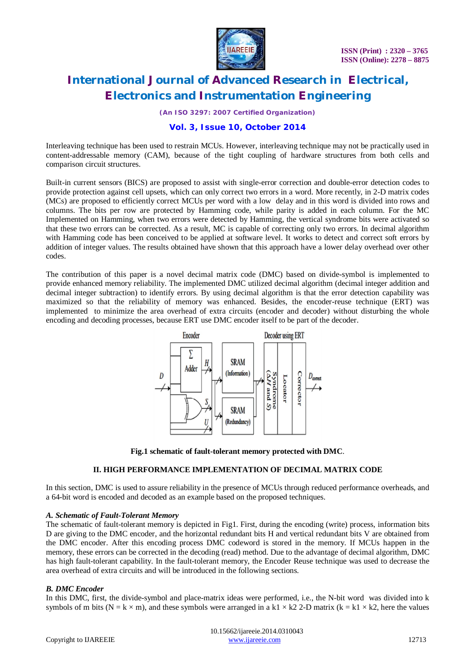

*(An ISO 3297: 2007 Certified Organization)*

# **Vol. 3, Issue 10, October 2014**

Interleaving technique has been used to restrain MCUs. However, interleaving technique may not be practically used in content-addressable memory (CAM), because of the tight coupling of hardware structures from both cells and comparison circuit structures.

Built-in current sensors (BICS) are proposed to assist with single-error correction and double-error detection codes to provide protection against cell upsets, which can only correct two errors in a word. More recently, in 2-D matrix codes (MCs) are proposed to efficiently correct MCUs per word with a low delay and in this word is divided into rows and columns. The bits per row are protected by Hamming code, while parity is added in each column. For the MC Implemented on Hamming, when two errors were detected by Hamming, the vertical syndrome bits were activated so that these two errors can be corrected. As a result, MC is capable of correcting only two errors. In decimal algorithm with Hamming code has been conceived to be applied at software level. It works to detect and correct soft errors by addition of integer values. The results obtained have shown that this approach have a lower delay overhead over other codes.

The contribution of this paper is a novel decimal matrix code (DMC) based on divide-symbol is implemented to provide enhanced memory reliability. The implemented DMC utilized decimal algorithm (decimal integer addition and decimal integer subtraction) to identify errors. By using decimal algorithm is that the error detection capability was maximized so that the reliability of memory was enhanced. Besides, the encoder-reuse technique (ERT) was implemented to minimize the area overhead of extra circuits (encoder and decoder) without disturbing the whole encoding and decoding processes, because ERT use DMC encoder itself to be part of the decoder.



**Fig.1 schematic of fault-tolerant memory protected with DMC**.

# **II. HIGH PERFORMANCE IMPLEMENTATION OF DECIMAL MATRIX CODE**

In this section, DMC is used to assure reliability in the presence of MCUs through reduced performance overheads, and a 64-bit word is encoded and decoded as an example based on the proposed techniques.

### *A. Schematic of Fault-Tolerant Memory*

The schematic of fault-tolerant memory is depicted in Fig1. First, during the encoding (write) process, information bits D are giving to the DMC encoder, and the horizontal redundant bits H and vertical redundant bits V are obtained from the DMC encoder. After this encoding process DMC codeword is stored in the memory. If MCUs happen in the memory, these errors can be corrected in the decoding (read) method. Due to the advantage of decimal algorithm, DMC has high fault-tolerant capability. In the fault-tolerant memory, the Encoder Reuse technique was used to decrease the area overhead of extra circuits and will be introduced in the following sections.

### *B. DMC Encoder*

In this DMC, first, the divide-symbol and place-matrix ideas were performed, i.e., the N-bit word was divided into k symbols of m bits (N = k  $\times$  m), and these symbols were arranged in a k1  $\times$  k2 2-D matrix (k = k1  $\times$  k2, here the values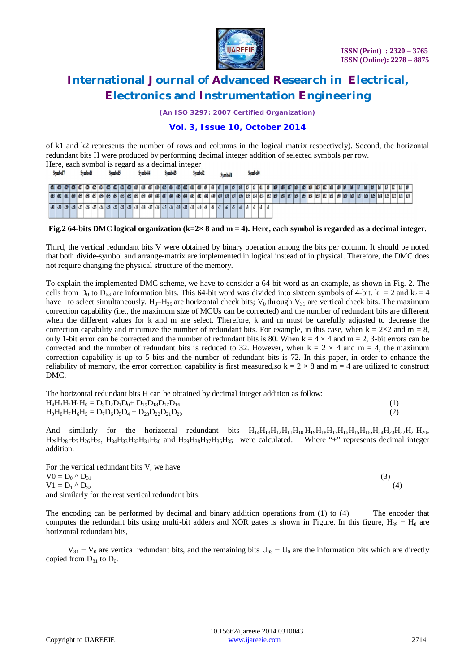

*(An ISO 3297: 2007 Certified Organization)*

# **Vol. 3, Issue 10, October 2014**

of k1 and k2 represents the number of rows and columns in the logical matrix respectively). Second, the horizontal redundant bits H were produced by performing decimal integer addition of selected symbols per row. Here, each symbol is regard as a decimal integer

|         |  |  |  |         |  |  |  |  |  |  |  |  |  |  | $1.101$ with $0.111001$ is the second way to the station. In the second |                |  |  |  |  |  |  |  |  |         |  |  |                     |  |  |                     |  |         |  |         |  |  |                                                                                                                                                                                                                                                                    |  |  |  |  |  |  |  |  |  |  |
|---------|--|--|--|---------|--|--|--|--|--|--|--|--|--|--|-------------------------------------------------------------------------|----------------|--|--|--|--|--|--|--|--|---------|--|--|---------------------|--|--|---------------------|--|---------|--|---------|--|--|--------------------------------------------------------------------------------------------------------------------------------------------------------------------------------------------------------------------------------------------------------------------|--|--|--|--|--|--|--|--|--|--|
| Symbol7 |  |  |  | Symbol6 |  |  |  |  |  |  |  |  |  |  |                                                                         | <b>Symbol5</b> |  |  |  |  |  |  |  |  | Symbol4 |  |  | Symbol <sup>3</sup> |  |  | Symbol <sub>2</sub> |  | Symbol1 |  | Symbol0 |  |  |                                                                                                                                                                                                                                                                    |  |  |  |  |  |  |  |  |  |  |
|         |  |  |  |         |  |  |  |  |  |  |  |  |  |  |                                                                         |                |  |  |  |  |  |  |  |  |         |  |  |                     |  |  |                     |  |         |  |         |  |  |                                                                                                                                                                                                                                                                    |  |  |  |  |  |  |  |  |  |  |
|         |  |  |  |         |  |  |  |  |  |  |  |  |  |  |                                                                         |                |  |  |  |  |  |  |  |  |         |  |  |                     |  |  |                     |  |         |  |         |  |  | $-1 \; 661 \; 662 \; 661 \; 660 \; 1691 \; 659 \; 1651 \; 655 \; 666 \; 665 \; 666 \; 666 \; 667 \; 668 \; 668 \; 669 \; 669 \; 669 \; 669 \; 669 \; 669 \; 679 \; 681 \; 685 \; 681 \; 685 \; 682 \; 689 \; 685 \; 687 \; 689 \; 689 \; 689 \; 689 \; 689 \; 699$ |  |  |  |  |  |  |  |  |  |  |
|         |  |  |  |         |  |  |  |  |  |  |  |  |  |  |                                                                         |                |  |  |  |  |  |  |  |  |         |  |  |                     |  |  |                     |  |         |  |         |  |  |                                                                                                                                                                                                                                                                    |  |  |  |  |  |  |  |  |  |  |

**Fig.2 64-bits DMC logical organization (k=2× 8 and m = 4). Here, each symbol is regarded as a decimal integer.**

Third, the vertical redundant bits V were obtained by binary operation among the bits per column. It should be noted that both divide-symbol and arrange-matrix are implemented in logical instead of in physical. Therefore, the DMC does not require changing the physical structure of the memory.

To explain the implemented DMC scheme, we have to consider a 64-bit word as an example, as shown in Fig. 2. The cells from  $D_0$  to  $D_{63}$  are information bits. This 64-bit word was divided into sixteen symbols of 4-bit.  $k_1 = 2$  and  $k_2 = 4$ have to select simultaneously. H<sub>0</sub>–H<sub>39</sub> are horizontal check bits; V<sub>0</sub> through V<sub>31</sub> are vertical check bits. The maximum correction capability (i.e., the maximum size of MCUs can be corrected) and the number of redundant bits are different when the different values for k and m are select. Therefore, k and m must be carefully adjusted to decrease the correction capability and minimize the number of redundant bits. For example, in this case, when  $k = 2 \times 2$  and  $m = 8$ , only 1-bit error can be corrected and the number of redundant bits is 80. When  $k = 4 \times 4$  and  $m = 2$ , 3-bit errors can be corrected and the number of redundant bits is reduced to 32. However, when  $k = 2 \times 4$  and  $m = 4$ , the maximum correction capability is up to 5 bits and the number of redundant bits is 72. In this paper, in order to enhance the reliability of memory, the error correction capability is first measured, so  $k = 2 \times 8$  and  $m = 4$  are utilized to construct DMC.

| The horizontal redundant bits H can be obtained by decimal integer addition as follow: |  |
|----------------------------------------------------------------------------------------|--|
| $H_4H_3H_2H_1H_0 = D_3D_2D_1D_0 + D_{19}D_{18}D_{17}D_{16}$                            |  |
| $H_9H_8H_7H_6H_5 = D_7D_6D_5D_4 + D_{23}D_{22}D_{21}D_{20}$                            |  |

And similarly for the horizontal redundant bits  $H_{14}H_{13}H_{12}H_{11}H_{10}H_{19}H_{18}H_{17}H_{16}H_{15}H_{16}H_{24}H_{23}H_{21}H_{20}$ ,  $H_{29}H_{28}H_{27}H_{26}H_{25}$ ,  $H_{34}H_{33}H_{32}H_{31}H_{30}$  and  $H_{39}H_{38}H_{37}H_{36}H_{35}$  were calculated. Where "+" represents decimal integer addition.

For the vertical redundant bits V, we have  $V0 = D_0^{\alpha} \Delta D_3$  (3)  $V1 = D_1^{\wedge} D_{32}$  (4) and similarly for the rest vertical redundant bits.

The encoding can be performed by decimal and binary addition operations from (1) to (4). The encoder that computes the redundant bits using multi-bit adders and XOR gates is shown in Figure. In this figure,  $H_{39} - H_0$  are horizontal redundant bits,

 $V_{31} - V_0$  are vertical redundant bits, and the remaining bits  $U_{63} - U_0$  are the information bits which are directly copied from  $D_{31}$  to  $D_0$ .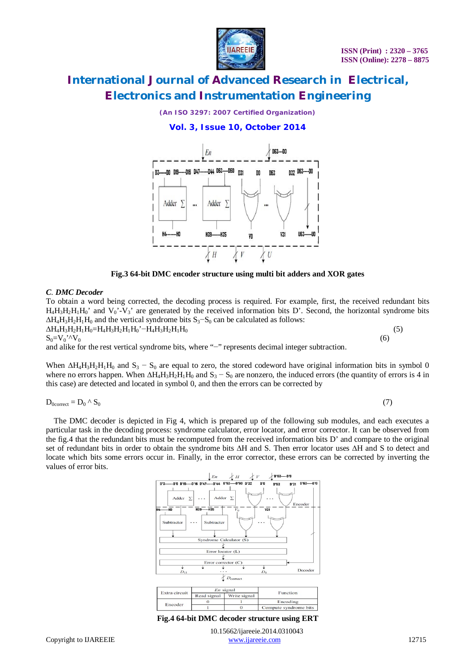

*(An ISO 3297: 2007 Certified Organization)*

# **Vol. 3, Issue 10, October 2014**



**Fig.3 64-bit DMC encoder structure using multi bit adders and XOR gates**

### *C. DMC Decoder*

To obtain a word being corrected, the decoding process is required. For example, first, the received redundant bits  $H_4H_3H_2H_1H_0'$  and  $V_0'$ - $V_3'$  are generated by the received information bits D'. Second, the horizontal syndrome bits  $\Delta H_4H_3H_2H_1H_0$  and the vertical syndrome bits S<sub>3</sub>–S<sub>0</sub> can be calculated as follows:  $\Delta H_4 H_3 H_2 H_1 H_0 = H_4 H_3 H_2 H_1 H_0' - H_4 H_3 H_2 H_1 H_0$  (5)<br>  $S_0 = V_0' \Delta V_0$  (6)

# $S_0 = V_0' \, {}^{\prime}V_0$  (6)

and alike for the rest vertical syndrome bits, where "−" represents decimal integer subtraction.

When  $\Delta H_4H_3H_2H_1H_0$  and  $S_3 - S_0$  are equal to zero, the stored codeword have original information bits in symbol 0 where no errors happen. When  $\Delta H_4 H_3 H_2 H_1 H_0$  and  $S_3 - S_0$  are nonzero, the induced errors (the quantity of errors is 4 in this case) are detected and located in symbol 0, and then the errors can be corrected by

$$
D_{0\text{correct}} = D_0 \wedge S_0 \tag{7}
$$

 The DMC decoder is depicted in Fig 4, which is prepared up of the following sub modules, and each executes a particular task in the decoding process: syndrome calculator, error locator, and error corrector. It can be observed from the fig.4 that the redundant bits must be recomputed from the received information bits D' and compare to the original set of redundant bits in order to obtain the syndrome bits ∆H and S. Then error locator uses ∆H and S to detect and locate which bits some errors occur in. Finally, in the error corrector, these errors can be corrected by inverting the values of error bits.



Copyright to UAREEIE www.ijareeie.com 12715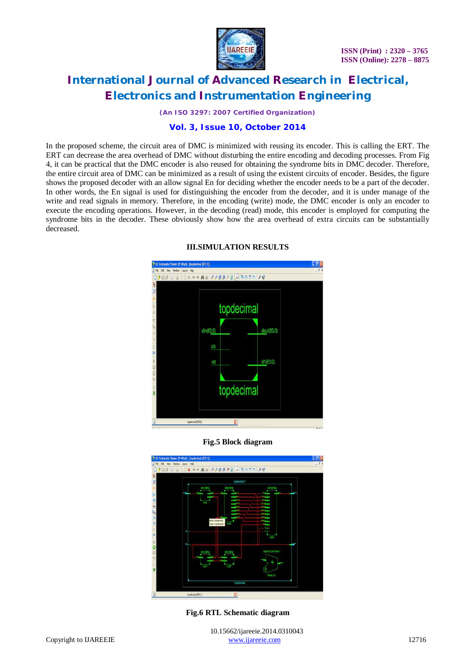

*(An ISO 3297: 2007 Certified Organization)*

# **Vol. 3, Issue 10, October 2014**

In the proposed scheme, the circuit area of DMC is minimized with reusing its encoder. This is calling the ERT. The ERT can decrease the area overhead of DMC without disturbing the entire encoding and decoding processes. From Fig 4, it can be practical that the DMC encoder is also reused for obtaining the syndrome bits in DMC decoder. Therefore, the entire circuit area of DMC can be minimized as a result of using the existent circuits of encoder. Besides, the figure shows the proposed decoder with an allow signal En for deciding whether the encoder needs to be a part of the decoder. In other words, the En signal is used for distinguishing the encoder from the decoder, and it is under manage of the write and read signals in memory. Therefore, in the encoding (write) mode, the DMC encoder is only an encoder to execute the encoding operations. However, in the decoding (read) mode, this encoder is employed for computing the syndrome bits in the decoder. These obviously show how the area overhead of extra circuits can be substantially decreased.



### **III.SIMULATION RESULTS**





**Fig.6 RTL Schematic diagram**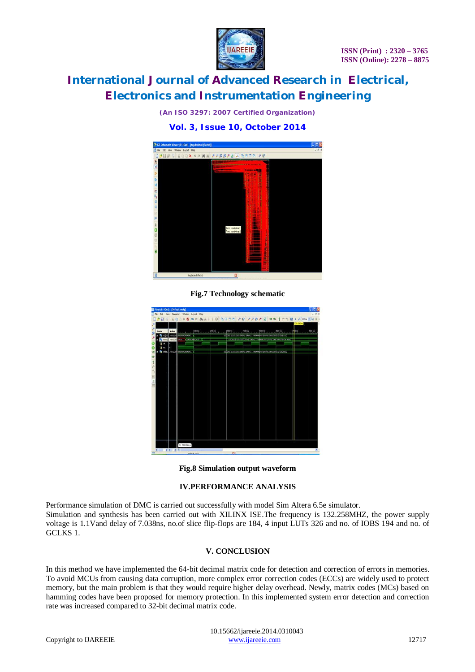

*(An ISO 3297: 2007 Certified Organization)*

# **Vol. 3, Issue 10, October 2014**



**Fig.7 Technology schematic**

| 840            |        | Float (P.40xd) - [Default.wefg] | Sinulation Window Layout Help |        |                    |                |               |                                                                                                                                                                                  |           |                   |
|----------------|--------|---------------------------------|-------------------------------|--------|--------------------|----------------|---------------|----------------------------------------------------------------------------------------------------------------------------------------------------------------------------------|-----------|-------------------|
| DB 9<br>ı,     |        |                                 |                               |        |                    |                |               | $\exists$ 00x 0 x 0 x 4 $\land$ 1 1 0 3 = 0 $\neq$ $\neq$ $\neq$ $\beta$ $\neq$ $\beta$ $\neq$ $\pm$ $\uparrow$ $\uparrow$ 0 $\downarrow$ $\downarrow$ $\text{max}$ $\downarrow$ |           |                   |
|                |        |                                 |                               |        |                    |                |               |                                                                                                                                                                                  | 19.000 fs |                   |
|                |        |                                 |                               |        |                    |                |               |                                                                                                                                                                                  |           |                   |
| <b>Name</b>    | Value  |                                 | $100$ rs                      | 200 hs | $300\,\mathrm{ns}$ | <b>Hi30 ns</b> | <b>500 ns</b> | $600$ ns                                                                                                                                                                         | phons:    | BOD <sub>ns</sub> |
|                | coocco | 00000000000<br>10001-00         | Vananzimon                    |        |                    |                |               |                                                                                                                                                                                  |           |                   |
|                | 100000 |                                 |                               |        |                    |                |               |                                                                                                                                                                                  |           |                   |
|                | o      |                                 |                               |        |                    |                |               |                                                                                                                                                                                  |           |                   |
| <b>M</b> doles | 100000 | 00000000000                     |                               |        |                    |                |               |                                                                                                                                                                                  |           |                   |
|                |        |                                 |                               |        |                    |                |               |                                                                                                                                                                                  |           |                   |
|                |        |                                 |                               |        |                    |                |               |                                                                                                                                                                                  |           |                   |
|                |        |                                 |                               |        |                    |                |               |                                                                                                                                                                                  |           |                   |
|                |        |                                 |                               |        |                    |                |               |                                                                                                                                                                                  |           |                   |
|                |        |                                 |                               |        |                    |                |               |                                                                                                                                                                                  |           |                   |
|                |        |                                 |                               |        |                    |                |               |                                                                                                                                                                                  |           |                   |
|                |        |                                 |                               |        |                    |                |               |                                                                                                                                                                                  |           |                   |
|                |        |                                 |                               |        |                    |                |               |                                                                                                                                                                                  |           |                   |
|                |        |                                 |                               |        |                    |                |               |                                                                                                                                                                                  |           |                   |
|                |        |                                 |                               |        |                    |                |               |                                                                                                                                                                                  |           |                   |
|                |        |                                 |                               |        |                    |                |               |                                                                                                                                                                                  |           |                   |
|                |        |                                 |                               |        |                    |                |               |                                                                                                                                                                                  |           |                   |
|                |        |                                 |                               |        |                    |                |               |                                                                                                                                                                                  |           |                   |
|                |        |                                 |                               |        |                    |                |               |                                                                                                                                                                                  |           |                   |
|                |        |                                 |                               |        |                    |                |               |                                                                                                                                                                                  |           |                   |
|                |        |                                 |                               |        |                    |                |               |                                                                                                                                                                                  |           |                   |
|                |        |                                 |                               |        |                    |                |               |                                                                                                                                                                                  |           |                   |
|                |        |                                 |                               |        |                    |                |               |                                                                                                                                                                                  |           |                   |
|                |        |                                 |                               |        |                    |                |               |                                                                                                                                                                                  |           |                   |
|                |        |                                 |                               |        |                    |                |               |                                                                                                                                                                                  |           |                   |
|                |        |                                 |                               |        |                    |                |               |                                                                                                                                                                                  |           |                   |
|                |        | X1: 709.000 ns                  |                               |        |                    |                |               |                                                                                                                                                                                  |           |                   |
|                |        |                                 |                               |        |                    |                |               |                                                                                                                                                                                  |           |                   |

**Fig.8 Simulation output waveform**

# **IV.PERFORMANCE ANALYSIS**

Performance simulation of DMC is carried out successfully with model Sim Altera 6.5e simulator. Simulation and synthesis has been carried out with XILINX ISE.The frequency is 132.258MHZ, the power supply voltage is 1.1Vand delay of 7.038ns, no.of slice flip-flops are 184, 4 input LUTs 326 and no. of IOBS 194 and no. of GCLKS 1.

### **V. CONCLUSION**

In this method we have implemented the 64-bit decimal matrix code for detection and correction of errors in memories. To avoid MCUs from causing data corruption, more complex error correction codes (ECCs) are widely used to protect memory, but the main problem is that they would require higher delay overhead. Newly, matrix codes (MCs) based on hamming codes have been proposed for memory protection. In this implemented system error detection and correction rate was increased compared to 32-bit decimal matrix code.